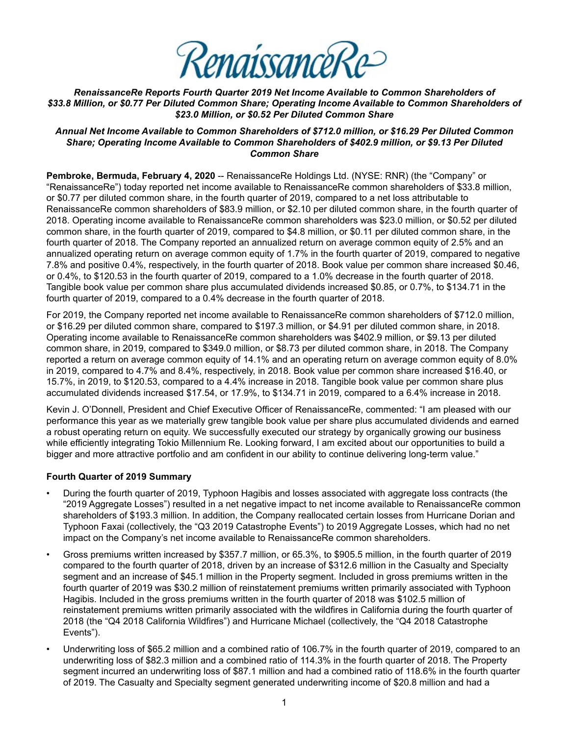

*RenaissanceRe Reports Fourth Quarter 2019 Net Income Available to Common Shareholders of \$33.8 Million, or \$0.77 Per Diluted Common Share; Operating Income Available to Common Shareholders of \$23.0 Million, or \$0.52 Per Diluted Common Share*

#### *Annual Net Income Available to Common Shareholders of \$712.0 million, or \$16.29 Per Diluted Common Share; Operating Income Available to Common Shareholders of \$402.9 million, or \$9.13 Per Diluted Common Share*

**Pembroke, Bermuda, February 4, 2020** -- RenaissanceRe Holdings Ltd. (NYSE: RNR) (the "Company" or "RenaissanceRe") today reported net income available to RenaissanceRe common shareholders of \$33.8 million, or \$0.77 per diluted common share, in the fourth quarter of 2019, compared to a net loss attributable to RenaissanceRe common shareholders of \$83.9 million, or \$2.10 per diluted common share, in the fourth quarter of 2018. Operating income available to RenaissanceRe common shareholders was \$23.0 million, or \$0.52 per diluted common share, in the fourth quarter of 2019, compared to \$4.8 million, or \$0.11 per diluted common share, in the fourth quarter of 2018. The Company reported an annualized return on average common equity of 2.5% and an annualized operating return on average common equity of 1.7% in the fourth quarter of 2019, compared to negative 7.8% and positive 0.4%, respectively, in the fourth quarter of 2018. Book value per common share increased \$0.46, or 0.4%, to \$120.53 in the fourth quarter of 2019, compared to a 1.0% decrease in the fourth quarter of 2018. Tangible book value per common share plus accumulated dividends increased \$0.85, or 0.7%, to \$134.71 in the fourth quarter of 2019, compared to a 0.4% decrease in the fourth quarter of 2018.

For 2019, the Company reported net income available to RenaissanceRe common shareholders of \$712.0 million, or \$16.29 per diluted common share, compared to \$197.3 million, or \$4.91 per diluted common share, in 2018. Operating income available to RenaissanceRe common shareholders was \$402.9 million, or \$9.13 per diluted common share, in 2019, compared to \$349.0 million, or \$8.73 per diluted common share, in 2018. The Company reported a return on average common equity of 14.1% and an operating return on average common equity of 8.0% in 2019, compared to 4.7% and 8.4%, respectively, in 2018. Book value per common share increased \$16.40, or 15.7%, in 2019, to \$120.53, compared to a 4.4% increase in 2018. Tangible book value per common share plus accumulated dividends increased \$17.54, or 17.9%, to \$134.71 in 2019, compared to a 6.4% increase in 2018.

Kevin J. O'Donnell, President and Chief Executive Officer of RenaissanceRe, commented: "I am pleased with our performance this year as we materially grew tangible book value per share plus accumulated dividends and earned a robust operating return on equity. We successfully executed our strategy by organically growing our business while efficiently integrating Tokio Millennium Re. Looking forward, I am excited about our opportunities to build a bigger and more attractive portfolio and am confident in our ability to continue delivering long-term value."

#### **Fourth Quarter of 2019 Summary**

- During the fourth quarter of 2019, Typhoon Hagibis and losses associated with aggregate loss contracts (the "2019 Aggregate Losses") resulted in a net negative impact to net income available to RenaissanceRe common shareholders of \$193.3 million. In addition, the Company reallocated certain losses from Hurricane Dorian and Typhoon Faxai (collectively, the "Q3 2019 Catastrophe Events") to 2019 Aggregate Losses, which had no net impact on the Company's net income available to RenaissanceRe common shareholders.
- Gross premiums written increased by \$357.7 million, or 65.3%, to \$905.5 million, in the fourth quarter of 2019 compared to the fourth quarter of 2018, driven by an increase of \$312.6 million in the Casualty and Specialty segment and an increase of \$45.1 million in the Property segment. Included in gross premiums written in the fourth quarter of 2019 was \$30.2 million of reinstatement premiums written primarily associated with Typhoon Hagibis. Included in the gross premiums written in the fourth quarter of 2018 was \$102.5 million of reinstatement premiums written primarily associated with the wildfires in California during the fourth quarter of 2018 (the "Q4 2018 California Wildfires") and Hurricane Michael (collectively, the "Q4 2018 Catastrophe Events").
- Underwriting loss of \$65.2 million and a combined ratio of 106.7% in the fourth quarter of 2019, compared to an underwriting loss of \$82.3 million and a combined ratio of 114.3% in the fourth quarter of 2018. The Property segment incurred an underwriting loss of \$87.1 million and had a combined ratio of 118.6% in the fourth quarter of 2019. The Casualty and Specialty segment generated underwriting income of \$20.8 million and had a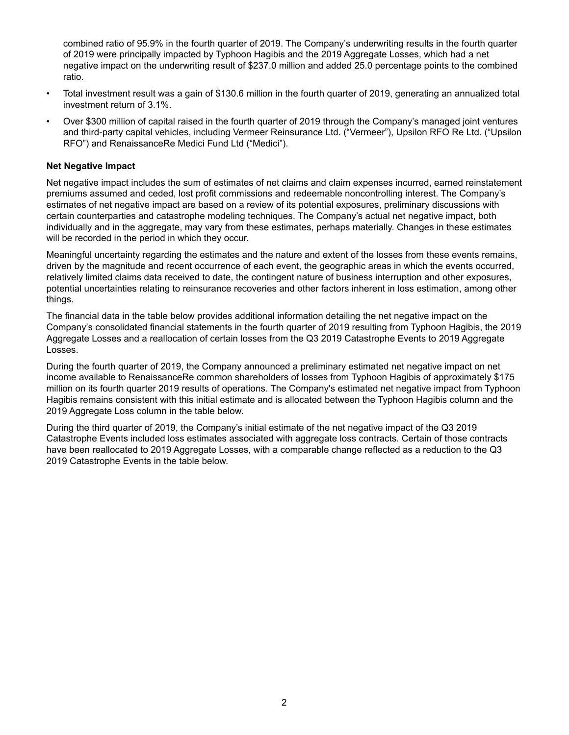combined ratio of 95.9% in the fourth quarter of 2019. The Company's underwriting results in the fourth quarter of 2019 were principally impacted by Typhoon Hagibis and the 2019 Aggregate Losses, which had a net negative impact on the underwriting result of \$237.0 million and added 25.0 percentage points to the combined ratio.

- Total investment result was a gain of \$130.6 million in the fourth quarter of 2019, generating an annualized total investment return of 3.1%.
- Over \$300 million of capital raised in the fourth quarter of 2019 through the Company's managed joint ventures and third-party capital vehicles, including Vermeer Reinsurance Ltd. ("Vermeer"), Upsilon RFO Re Ltd. ("Upsilon RFO") and RenaissanceRe Medici Fund Ltd ("Medici").

#### **Net Negative Impact**

Net negative impact includes the sum of estimates of net claims and claim expenses incurred, earned reinstatement premiums assumed and ceded, lost profit commissions and redeemable noncontrolling interest. The Company's estimates of net negative impact are based on a review of its potential exposures, preliminary discussions with certain counterparties and catastrophe modeling techniques. The Company's actual net negative impact, both individually and in the aggregate, may vary from these estimates, perhaps materially. Changes in these estimates will be recorded in the period in which they occur.

Meaningful uncertainty regarding the estimates and the nature and extent of the losses from these events remains, driven by the magnitude and recent occurrence of each event, the geographic areas in which the events occurred, relatively limited claims data received to date, the contingent nature of business interruption and other exposures, potential uncertainties relating to reinsurance recoveries and other factors inherent in loss estimation, among other things.

The financial data in the table below provides additional information detailing the net negative impact on the Company's consolidated financial statements in the fourth quarter of 2019 resulting from Typhoon Hagibis, the 2019 Aggregate Losses and a reallocation of certain losses from the Q3 2019 Catastrophe Events to 2019 Aggregate Losses.

During the fourth quarter of 2019, the Company announced a preliminary estimated net negative impact on net income available to RenaissanceRe common shareholders of losses from Typhoon Hagibis of approximately \$175 million on its fourth quarter 2019 results of operations. The Company's estimated net negative impact from Typhoon Hagibis remains consistent with this initial estimate and is allocated between the Typhoon Hagibis column and the 2019 Aggregate Loss column in the table below.

During the third quarter of 2019, the Company's initial estimate of the net negative impact of the Q3 2019 Catastrophe Events included loss estimates associated with aggregate loss contracts. Certain of those contracts have been reallocated to 2019 Aggregate Losses, with a comparable change reflected as a reduction to the Q3 2019 Catastrophe Events in the table below.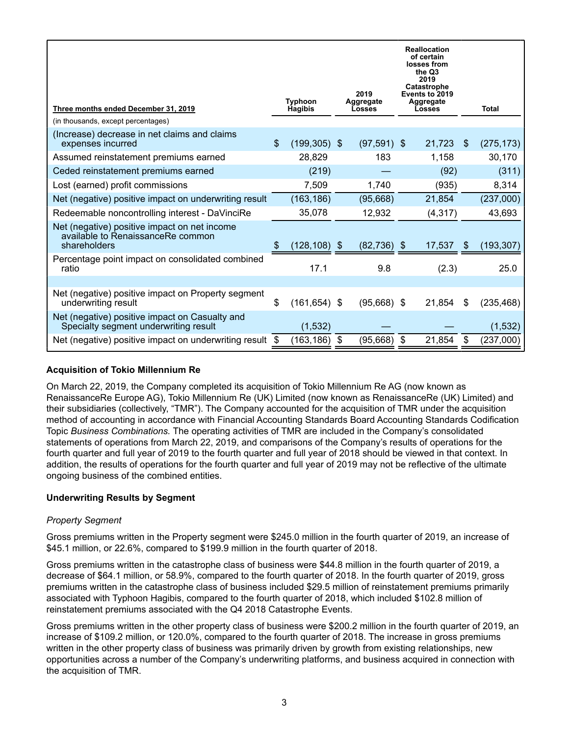| Three months ended December 31, 2019<br>(in thousands, except percentages)                        |    | <b>Typhoon</b><br><b>Hagibis</b> |     | 2019<br>Aggregate<br><b>Losses</b> | <b>Reallocation</b><br>of certain<br>losses from<br>the Q3<br>2019<br>Catastrophe<br>Events to 2019<br>Aggregate<br>Losses |     | <b>Total</b> |
|---------------------------------------------------------------------------------------------------|----|----------------------------------|-----|------------------------------------|----------------------------------------------------------------------------------------------------------------------------|-----|--------------|
| (Increase) decrease in net claims and claims<br>expenses incurred                                 | \$ | $(199, 305)$ \$                  |     | $(97,591)$ \$                      | 21,723                                                                                                                     | \$  | (275, 173)   |
| Assumed reinstatement premiums earned                                                             |    | 28,829                           |     | 183                                | 1,158                                                                                                                      |     | 30,170       |
| Ceded reinstatement premiums earned                                                               |    | (219)                            |     |                                    | (92)                                                                                                                       |     | (311)        |
| Lost (earned) profit commissions                                                                  |    | 7,509                            |     | 1,740                              | (935)                                                                                                                      |     | 8,314        |
| Net (negative) positive impact on underwriting result                                             |    | (163, 186)                       |     | (95,668)                           | 21,854                                                                                                                     |     | (237,000)    |
| Redeemable noncontrolling interest - DaVinciRe                                                    |    | 35,078                           |     | 12,932                             | (4, 317)                                                                                                                   |     | 43,693       |
| Net (negative) positive impact on net income<br>available to RenaissanceRe common<br>shareholders |    | $(128, 108)$ \$                  |     | $(82, 736)$ \$                     | 17,537                                                                                                                     | \$. | (193, 307)   |
| Percentage point impact on consolidated combined<br>ratio                                         |    | 17.1                             |     | 9.8                                | (2.3)                                                                                                                      |     | 25.0         |
|                                                                                                   |    |                                  |     |                                    |                                                                                                                            |     |              |
| Net (negative) positive impact on Property segment<br>underwriting result                         | \$ | $(161, 654)$ \$                  |     | $(95,668)$ \$                      | 21,854                                                                                                                     | \$  | (235, 468)   |
| Net (negative) positive impact on Casualty and<br>Specialty segment underwriting result           |    | (1, 532)                         |     |                                    |                                                                                                                            |     | (1, 532)     |
| Net (negative) positive impact on underwriting result                                             | S  | (163, 186)                       | -\$ | (95, 668)                          | \$<br>21,854                                                                                                               | S   | (237,000)    |

### **Acquisition of Tokio Millennium Re**

On March 22, 2019, the Company completed its acquisition of Tokio Millennium Re AG (now known as RenaissanceRe Europe AG), Tokio Millennium Re (UK) Limited (now known as RenaissanceRe (UK) Limited) and their subsidiaries (collectively, "TMR"). The Company accounted for the acquisition of TMR under the acquisition method of accounting in accordance with Financial Accounting Standards Board Accounting Standards Codification Topic *Business Combinations.* The operating activities of TMR are included in the Company's consolidated statements of operations from March 22, 2019, and comparisons of the Company's results of operations for the fourth quarter and full year of 2019 to the fourth quarter and full year of 2018 should be viewed in that context. In addition, the results of operations for the fourth quarter and full year of 2019 may not be reflective of the ultimate ongoing business of the combined entities.

#### **Underwriting Results by Segment**

#### *Property Segment*

Gross premiums written in the Property segment were \$245.0 million in the fourth quarter of 2019, an increase of \$45.1 million, or 22.6%, compared to \$199.9 million in the fourth quarter of 2018.

Gross premiums written in the catastrophe class of business were \$44.8 million in the fourth quarter of 2019, a decrease of \$64.1 million, or 58.9%, compared to the fourth quarter of 2018. In the fourth quarter of 2019, gross premiums written in the catastrophe class of business included \$29.5 million of reinstatement premiums primarily associated with Typhoon Hagibis, compared to the fourth quarter of 2018, which included \$102.8 million of reinstatement premiums associated with the Q4 2018 Catastrophe Events.

Gross premiums written in the other property class of business were \$200.2 million in the fourth quarter of 2019, an increase of \$109.2 million, or 120.0%, compared to the fourth quarter of 2018. The increase in gross premiums written in the other property class of business was primarily driven by growth from existing relationships, new opportunities across a number of the Company's underwriting platforms, and business acquired in connection with the acquisition of TMR.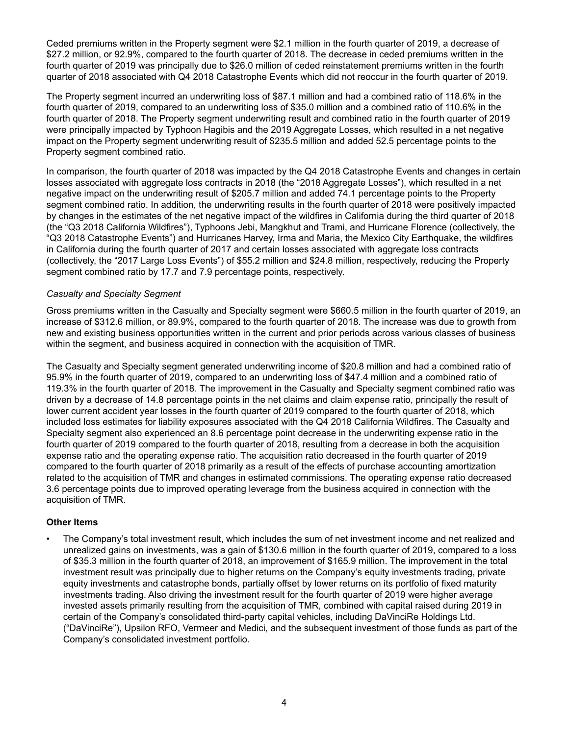Ceded premiums written in the Property segment were \$2.1 million in the fourth quarter of 2019, a decrease of \$27.2 million, or 92.9%, compared to the fourth quarter of 2018. The decrease in ceded premiums written in the fourth quarter of 2019 was principally due to \$26.0 million of ceded reinstatement premiums written in the fourth quarter of 2018 associated with Q4 2018 Catastrophe Events which did not reoccur in the fourth quarter of 2019.

The Property segment incurred an underwriting loss of \$87.1 million and had a combined ratio of 118.6% in the fourth quarter of 2019, compared to an underwriting loss of \$35.0 million and a combined ratio of 110.6% in the fourth quarter of 2018. The Property segment underwriting result and combined ratio in the fourth quarter of 2019 were principally impacted by Typhoon Hagibis and the 2019 Aggregate Losses, which resulted in a net negative impact on the Property segment underwriting result of \$235.5 million and added 52.5 percentage points to the Property segment combined ratio.

In comparison, the fourth quarter of 2018 was impacted by the Q4 2018 Catastrophe Events and changes in certain losses associated with aggregate loss contracts in 2018 (the "2018 Aggregate Losses"), which resulted in a net negative impact on the underwriting result of \$205.7 million and added 74.1 percentage points to the Property segment combined ratio. In addition, the underwriting results in the fourth quarter of 2018 were positively impacted by changes in the estimates of the net negative impact of the wildfires in California during the third quarter of 2018 (the "Q3 2018 California Wildfires"), Typhoons Jebi, Mangkhut and Trami, and Hurricane Florence (collectively, the "Q3 2018 Catastrophe Events") and Hurricanes Harvey, Irma and Maria, the Mexico City Earthquake, the wildfires in California during the fourth quarter of 2017 and certain losses associated with aggregate loss contracts (collectively, the "2017 Large Loss Events") of \$55.2 million and \$24.8 million, respectively, reducing the Property segment combined ratio by 17.7 and 7.9 percentage points, respectively.

## *Casualty and Specialty Segment*

Gross premiums written in the Casualty and Specialty segment were \$660.5 million in the fourth quarter of 2019, an increase of \$312.6 million, or 89.9%, compared to the fourth quarter of 2018. The increase was due to growth from new and existing business opportunities written in the current and prior periods across various classes of business within the segment, and business acquired in connection with the acquisition of TMR.

The Casualty and Specialty segment generated underwriting income of \$20.8 million and had a combined ratio of 95.9% in the fourth quarter of 2019, compared to an underwriting loss of \$47.4 million and a combined ratio of 119.3% in the fourth quarter of 2018. The improvement in the Casualty and Specialty segment combined ratio was driven by a decrease of 14.8 percentage points in the net claims and claim expense ratio, principally the result of lower current accident year losses in the fourth quarter of 2019 compared to the fourth quarter of 2018, which included loss estimates for liability exposures associated with the Q4 2018 California Wildfires. The Casualty and Specialty segment also experienced an 8.6 percentage point decrease in the underwriting expense ratio in the fourth quarter of 2019 compared to the fourth quarter of 2018, resulting from a decrease in both the acquisition expense ratio and the operating expense ratio. The acquisition ratio decreased in the fourth quarter of 2019 compared to the fourth quarter of 2018 primarily as a result of the effects of purchase accounting amortization related to the acquisition of TMR and changes in estimated commissions. The operating expense ratio decreased 3.6 percentage points due to improved operating leverage from the business acquired in connection with the acquisition of TMR.

#### **Other Items**

• The Company's total investment result, which includes the sum of net investment income and net realized and unrealized gains on investments, was a gain of \$130.6 million in the fourth quarter of 2019, compared to a loss of \$35.3 million in the fourth quarter of 2018, an improvement of \$165.9 million. The improvement in the total investment result was principally due to higher returns on the Company's equity investments trading, private equity investments and catastrophe bonds, partially offset by lower returns on its portfolio of fixed maturity investments trading. Also driving the investment result for the fourth quarter of 2019 were higher average invested assets primarily resulting from the acquisition of TMR, combined with capital raised during 2019 in certain of the Company's consolidated third-party capital vehicles, including DaVinciRe Holdings Ltd. ("DaVinciRe"), Upsilon RFO, Vermeer and Medici, and the subsequent investment of those funds as part of the Company's consolidated investment portfolio.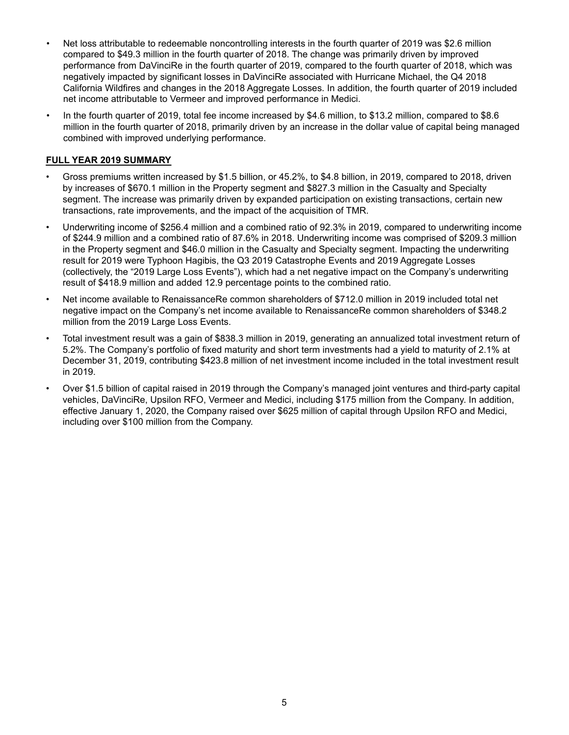- Net loss attributable to redeemable noncontrolling interests in the fourth quarter of 2019 was \$2.6 million compared to \$49.3 million in the fourth quarter of 2018. The change was primarily driven by improved performance from DaVinciRe in the fourth quarter of 2019, compared to the fourth quarter of 2018, which was negatively impacted by significant losses in DaVinciRe associated with Hurricane Michael, the Q4 2018 California Wildfires and changes in the 2018 Aggregate Losses. In addition, the fourth quarter of 2019 included net income attributable to Vermeer and improved performance in Medici.
- In the fourth quarter of 2019, total fee income increased by \$4.6 million, to \$13.2 million, compared to \$8.6 million in the fourth quarter of 2018, primarily driven by an increase in the dollar value of capital being managed combined with improved underlying performance.

## **FULL YEAR 2019 SUMMARY**

- Gross premiums written increased by \$1.5 billion, or 45.2%, to \$4.8 billion, in 2019, compared to 2018, driven by increases of \$670.1 million in the Property segment and \$827.3 million in the Casualty and Specialty segment. The increase was primarily driven by expanded participation on existing transactions, certain new transactions, rate improvements, and the impact of the acquisition of TMR.
- Underwriting income of \$256.4 million and a combined ratio of 92.3% in 2019, compared to underwriting income of \$244.9 million and a combined ratio of 87.6% in 2018. Underwriting income was comprised of \$209.3 million in the Property segment and \$46.0 million in the Casualty and Specialty segment. Impacting the underwriting result for 2019 were Typhoon Hagibis, the Q3 2019 Catastrophe Events and 2019 Aggregate Losses (collectively, the "2019 Large Loss Events"), which had a net negative impact on the Company's underwriting result of \$418.9 million and added 12.9 percentage points to the combined ratio.
- Net income available to RenaissanceRe common shareholders of \$712.0 million in 2019 included total net negative impact on the Company's net income available to RenaissanceRe common shareholders of \$348.2 million from the 2019 Large Loss Events.
- Total investment result was a gain of \$838.3 million in 2019, generating an annualized total investment return of 5.2%. The Company's portfolio of fixed maturity and short term investments had a yield to maturity of 2.1% at December 31, 2019, contributing \$423.8 million of net investment income included in the total investment result in 2019.
- Over \$1.5 billion of capital raised in 2019 through the Company's managed joint ventures and third-party capital vehicles, DaVinciRe, Upsilon RFO, Vermeer and Medici, including \$175 million from the Company. In addition, effective January 1, 2020, the Company raised over \$625 million of capital through Upsilon RFO and Medici, including over \$100 million from the Company.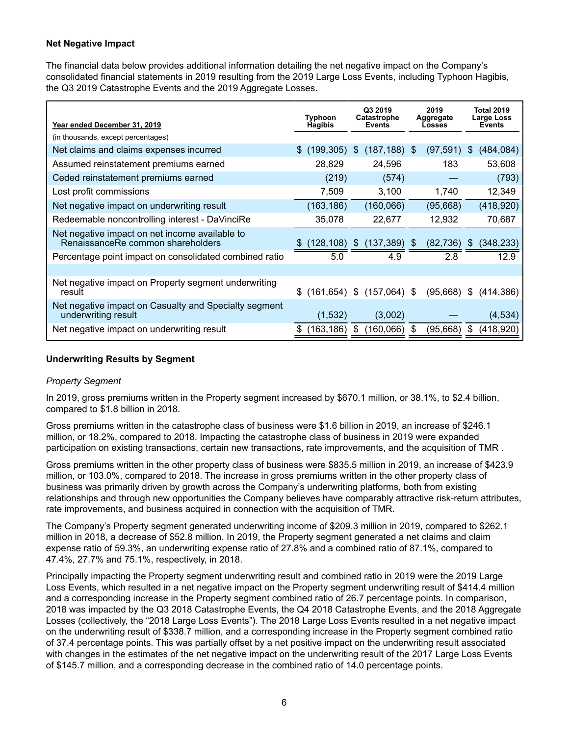#### **Net Negative Impact**

The financial data below provides additional information detailing the net negative impact on the Company's consolidated financial statements in 2019 resulting from the 2019 Large Loss Events, including Typhoon Hagibis, the Q3 2019 Catastrophe Events and the 2019 Aggregate Losses.

| Year ended December 31, 2019                                                        | Typhoon<br><b>Hagibis</b> | Q3 2019<br>Catastrophe<br><b>Events</b> | 2019<br>Aggregate<br>Losses | <b>Total 2019</b><br>Large Loss<br><b>Events</b> |
|-------------------------------------------------------------------------------------|---------------------------|-----------------------------------------|-----------------------------|--------------------------------------------------|
| (in thousands, except percentages)                                                  |                           |                                         |                             |                                                  |
| Net claims and claims expenses incurred                                             | \$<br>(199, 305)          | $(187, 188)$ \$<br>\$                   | (97,591)                    | (484, 084)<br>S                                  |
| Assumed reinstatement premiums earned                                               | 28,829                    | 24,596                                  | 183                         | 53,608                                           |
| Ceded reinstatement premiums earned                                                 | (219)                     | (574)                                   |                             | (793)                                            |
| Lost profit commissions                                                             | 7,509                     | 3,100                                   | 1,740                       | 12,349                                           |
| Net negative impact on underwriting result                                          | (163, 186)                | (160, 066)                              | (95, 668)                   | (418,920)                                        |
| Redeemable noncontrolling interest - DaVinciRe                                      | 35,078                    | 22,677                                  | 12,932                      | 70,687                                           |
| Net negative impact on net income available to<br>RenaissanceRe common shareholders | (128, 108)<br>æ.          | (137, 389)<br>\$                        | (82,736)<br>\$              | (348, 233)<br>\$                                 |
| Percentage point impact on consolidated combined ratio                              | 5.0                       | 4.9                                     | 2.8                         | 12.9                                             |
|                                                                                     |                           |                                         |                             |                                                  |
| Net negative impact on Property segment underwriting<br>result                      |                           | $$$ (161,654) $$$ (157,064) $$$         | (95,668)                    | S.<br>(414, 386)                                 |
| Net negative impact on Casualty and Specialty segment<br>underwriting result        | (1,532)                   | (3,002)                                 |                             | (4, 534)                                         |
| Net negative impact on underwriting result                                          | (163, 186)<br>S           | (160,066)<br>S                          | (95,668)<br>- \$            | (418,920)<br>\$                                  |

#### **Underwriting Results by Segment**

#### *Property Segment*

In 2019, gross premiums written in the Property segment increased by \$670.1 million, or 38.1%, to \$2.4 billion, compared to \$1.8 billion in 2018.

Gross premiums written in the catastrophe class of business were \$1.6 billion in 2019, an increase of \$246.1 million, or 18.2%, compared to 2018. Impacting the catastrophe class of business in 2019 were expanded participation on existing transactions, certain new transactions, rate improvements, and the acquisition of TMR .

Gross premiums written in the other property class of business were \$835.5 million in 2019, an increase of \$423.9 million, or 103.0%, compared to 2018. The increase in gross premiums written in the other property class of business was primarily driven by growth across the Company's underwriting platforms, both from existing relationships and through new opportunities the Company believes have comparably attractive risk-return attributes, rate improvements, and business acquired in connection with the acquisition of TMR.

The Company's Property segment generated underwriting income of \$209.3 million in 2019, compared to \$262.1 million in 2018, a decrease of \$52.8 million. In 2019, the Property segment generated a net claims and claim expense ratio of 59.3%, an underwriting expense ratio of 27.8% and a combined ratio of 87.1%, compared to 47.4%, 27.7% and 75.1%, respectively, in 2018.

Principally impacting the Property segment underwriting result and combined ratio in 2019 were the 2019 Large Loss Events, which resulted in a net negative impact on the Property segment underwriting result of \$414.4 million and a corresponding increase in the Property segment combined ratio of 26.7 percentage points. In comparison, 2018 was impacted by the Q3 2018 Catastrophe Events, the Q4 2018 Catastrophe Events, and the 2018 Aggregate Losses (collectively, the "2018 Large Loss Events"). The 2018 Large Loss Events resulted in a net negative impact on the underwriting result of \$338.7 million, and a corresponding increase in the Property segment combined ratio of 37.4 percentage points. This was partially offset by a net positive impact on the underwriting result associated with changes in the estimates of the net negative impact on the underwriting result of the 2017 Large Loss Events of \$145.7 million, and a corresponding decrease in the combined ratio of 14.0 percentage points.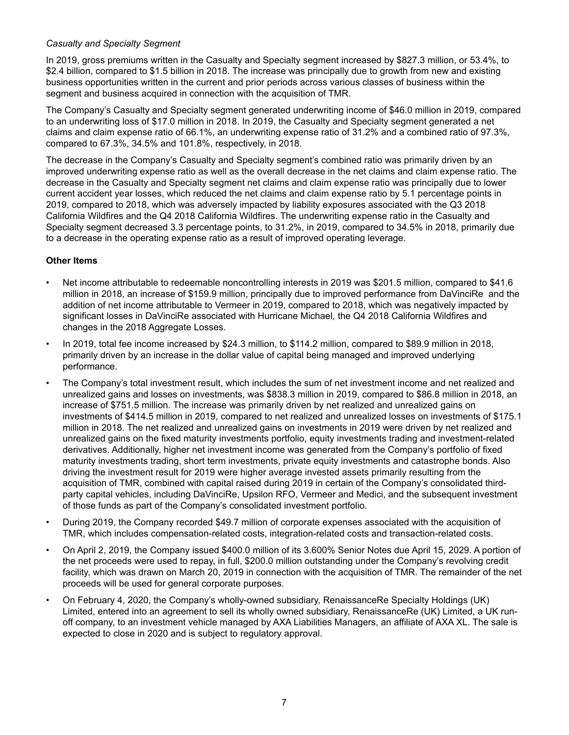### *Casualty and Specialty Segment*

In 2019, gross premiums written in the Casualty and Specialty segment increased by \$827.3 million, or 53.4%, to \$2.4 billion, compared to \$1.5 billion in 2018. The increase was principally due to growth from new and existing business opportunities written in the current and prior periods across various classes of business within the segment and business acquired in connection with the acquisition of TMR.

The Company's Casualty and Specialty segment generated underwriting income of \$46.0 million in 2019, compared to an underwriting loss of \$17.0 million in 2018. In 2019, the Casualty and Specialty segment generated a net claims and claim expense ratio of 66.1%, an underwriting expense ratio of 31.2% and a combined ratio of 97.3%, compared to 67.3%, 34.5% and 101.8%, respectively, in 2018.

The decrease in the Company's Casualty and Specialty segment's combined ratio was primarily driven by an improved underwriting expense ratio as well as the overall decrease in the net claims and claim expense ratio. The decrease in the Casualty and Specialty segment net claims and claim expense ratio was principally due to lower current accident year losses, which reduced the net claims and claim expense ratio by 5.1 percentage points in 2019, compared to 2018, which was adversely impacted by liability exposures associated with the Q3 2018 California Wildfires and the Q4 2018 California Wildfires. The underwriting expense ratio in the Casualty and Specialty segment decreased 3.3 percentage points, to 31.2%, in 2019, compared to 34.5% in 2018, primarily due to a decrease in the operating expense ratio as a result of improved operating leverage.

## **Other Items**

- Net income attributable to redeemable noncontrolling interests in 2019 was \$201.5 million, compared to \$41.6 million in 2018, an increase of \$159.9 million, principally due to improved performance from DaVinciRe and the addition of net income attributable to Vermeer in 2019, compared to 2018, which was negatively impacted by significant losses in DaVinciRe associated with Hurricane Michael, the Q4 2018 California Wildfires and changes in the 2018 Aggregate Losses.
- In 2019, total fee income increased by \$24.3 million, to \$114.2 million, compared to \$89.9 million in 2018, primarily driven by an increase in the dollar value of capital being managed and improved underlying performance.
- The Company's total investment result, which includes the sum of net investment income and net realized and unrealized gains and losses on investments, was \$838.3 million in 2019, compared to \$86.8 million in 2018, an increase of \$751.5 million. The increase was primarily driven by net realized and unrealized gains on investments of \$414.5 million in 2019, compared to net realized and unrealized losses on investments of \$175.1 million in 2018. The net realized and unrealized gains on investments in 2019 were driven by net realized and unrealized gains on the fixed maturity investments portfolio, equity investments trading and investment-related derivatives. Additionally, higher net investment income was generated from the Company's portfolio of fixed maturity investments trading, short term investments, private equity investments and catastrophe bonds. Also driving the investment result for 2019 were higher average invested assets primarily resulting from the acquisition of TMR, combined with capital raised during 2019 in certain of the Company's consolidated thirdparty capital vehicles, including DaVinciRe, Upsilon RFO, Vermeer and Medici, and the subsequent investment of those funds as part of the Company's consolidated investment portfolio.
- During 2019, the Company recorded \$49.7 million of corporate expenses associated with the acquisition of TMR, which includes compensation-related costs, integration-related costs and transaction-related costs.
- On April 2, 2019, the Company issued \$400.0 million of its 3.600% Senior Notes due April 15, 2029. A portion of the net proceeds were used to repay, in full, \$200.0 million outstanding under the Company's revolving credit facility, which was drawn on March 20, 2019 in connection with the acquisition of TMR. The remainder of the net proceeds will be used for general corporate purposes.
- On February 4, 2020, the Company's wholly-owned subsidiary, RenaissanceRe Specialty Holdings (UK) Limited, entered into an agreement to sell its wholly owned subsidiary, RenaissanceRe (UK) Limited, a UK runoff company, to an investment vehicle managed by AXA Liabilities Managers, an affiliate of AXA XL. The sale is expected to close in 2020 and is subject to regulatory approval.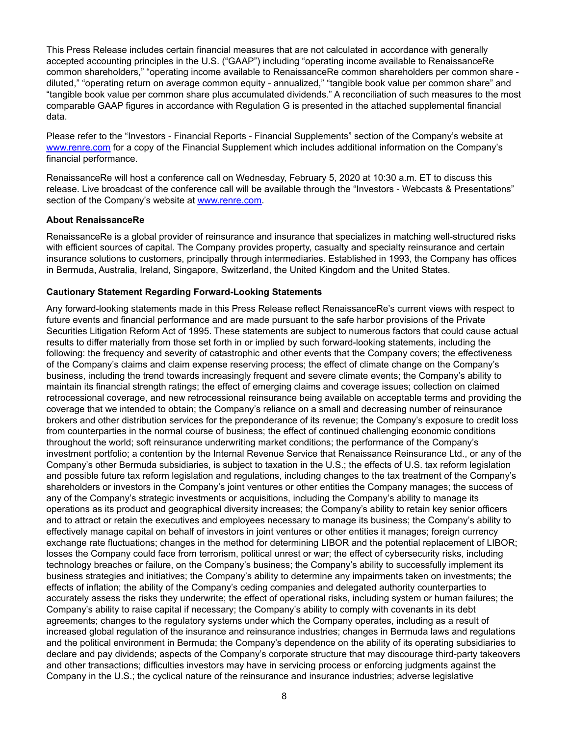This Press Release includes certain financial measures that are not calculated in accordance with generally accepted accounting principles in the U.S. ("GAAP") including "operating income available to RenaissanceRe common shareholders," "operating income available to RenaissanceRe common shareholders per common share diluted," "operating return on average common equity - annualized," "tangible book value per common share" and "tangible book value per common share plus accumulated dividends." A reconciliation of such measures to the most comparable GAAP figures in accordance with Regulation G is presented in the attached supplemental financial data.

Please refer to the "Investors - Financial Reports - Financial Supplements" section of the Company's website at www.renre.com for a copy of the Financial Supplement which includes additional information on the Company's financial performance.

RenaissanceRe will host a conference call on Wednesday, February 5, 2020 at 10:30 a.m. ET to discuss this release. Live broadcast of the conference call will be available through the "Investors - Webcasts & Presentations" section of the Company's website at www.renre.com.

#### **About RenaissanceRe**

RenaissanceRe is a global provider of reinsurance and insurance that specializes in matching well-structured risks with efficient sources of capital. The Company provides property, casualty and specialty reinsurance and certain insurance solutions to customers, principally through intermediaries. Established in 1993, the Company has offices in Bermuda, Australia, Ireland, Singapore, Switzerland, the United Kingdom and the United States.

#### **Cautionary Statement Regarding Forward-Looking Statements**

Any forward-looking statements made in this Press Release reflect RenaissanceRe's current views with respect to future events and financial performance and are made pursuant to the safe harbor provisions of the Private Securities Litigation Reform Act of 1995. These statements are subject to numerous factors that could cause actual results to differ materially from those set forth in or implied by such forward-looking statements, including the following: the frequency and severity of catastrophic and other events that the Company covers; the effectiveness of the Company's claims and claim expense reserving process; the effect of climate change on the Company's business, including the trend towards increasingly frequent and severe climate events; the Company's ability to maintain its financial strength ratings; the effect of emerging claims and coverage issues; collection on claimed retrocessional coverage, and new retrocessional reinsurance being available on acceptable terms and providing the coverage that we intended to obtain; the Company's reliance on a small and decreasing number of reinsurance brokers and other distribution services for the preponderance of its revenue; the Company's exposure to credit loss from counterparties in the normal course of business; the effect of continued challenging economic conditions throughout the world; soft reinsurance underwriting market conditions; the performance of the Company's investment portfolio; a contention by the Internal Revenue Service that Renaissance Reinsurance Ltd., or any of the Company's other Bermuda subsidiaries, is subject to taxation in the U.S.; the effects of U.S. tax reform legislation and possible future tax reform legislation and regulations, including changes to the tax treatment of the Company's shareholders or investors in the Company's joint ventures or other entities the Company manages; the success of any of the Company's strategic investments or acquisitions, including the Company's ability to manage its operations as its product and geographical diversity increases; the Company's ability to retain key senior officers and to attract or retain the executives and employees necessary to manage its business; the Company's ability to effectively manage capital on behalf of investors in joint ventures or other entities it manages; foreign currency exchange rate fluctuations; changes in the method for determining LIBOR and the potential replacement of LIBOR; losses the Company could face from terrorism, political unrest or war; the effect of cybersecurity risks, including technology breaches or failure, on the Company's business; the Company's ability to successfully implement its business strategies and initiatives; the Company's ability to determine any impairments taken on investments; the effects of inflation; the ability of the Company's ceding companies and delegated authority counterparties to accurately assess the risks they underwrite; the effect of operational risks, including system or human failures; the Company's ability to raise capital if necessary; the Company's ability to comply with covenants in its debt agreements; changes to the regulatory systems under which the Company operates, including as a result of increased global regulation of the insurance and reinsurance industries; changes in Bermuda laws and regulations and the political environment in Bermuda; the Company's dependence on the ability of its operating subsidiaries to declare and pay dividends; aspects of the Company's corporate structure that may discourage third-party takeovers and other transactions; difficulties investors may have in servicing process or enforcing judgments against the Company in the U.S.; the cyclical nature of the reinsurance and insurance industries; adverse legislative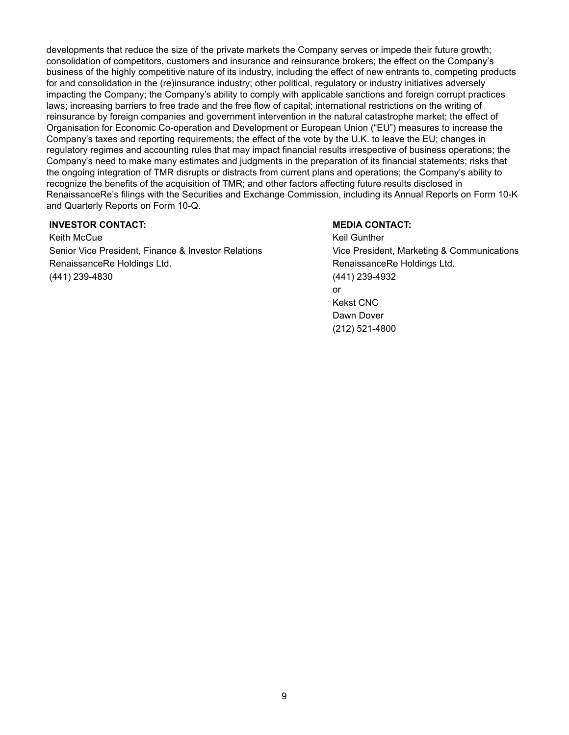developments that reduce the size of the private markets the Company serves or impede their future growth; consolidation of competitors, customers and insurance and reinsurance brokers; the effect on the Company's business of the highly competitive nature of its industry, including the effect of new entrants to, competing products for and consolidation in the (re)insurance industry; other political, regulatory or industry initiatives adversely impacting the Company; the Company's ability to comply with applicable sanctions and foreign corrupt practices laws; increasing barriers to free trade and the free flow of capital; international restrictions on the writing of reinsurance by foreign companies and government intervention in the natural catastrophe market; the effect of Organisation for Economic Co-operation and Development or European Union ("EU") measures to increase the Company's taxes and reporting requirements; the effect of the vote by the U.K. to leave the EU; changes in regulatory regimes and accounting rules that may impact financial results irrespective of business operations; the Company's need to make many estimates and judgments in the preparation of its financial statements; risks that the ongoing integration of TMR disrupts or distracts from current plans and operations; the Company's ability to recognize the benefits of the acquisition of TMR; and other factors affecting future results disclosed in RenaissanceRe's filings with the Securities and Exchange Commission, including its Annual Reports on Form 10-K and Quarterly Reports on Form 10-Q.

#### **INVESTOR CONTACT: MEDIA CONTACT: MEDIA CONTACT:**

Keith McCue **Keil Gunther** Keil Gunther Keil Gunther Senior Vice President, Finance & Investor Relations Vice President, Marketing & Communications RenaissanceRe Holdings Ltd. **RenaissanceRe Holdings Ltd.** RenaissanceRe Holdings Ltd. (441) 239-4830 (441) 239-4932

or Kekst CNC Dawn Dover (212) 521-4800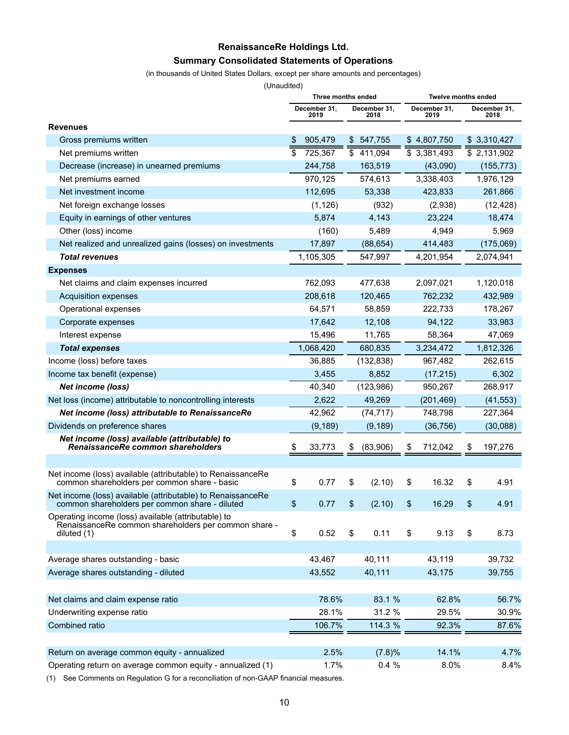# **RenaissanceRe Holdings Ltd. Summary Consolidated Statements of Operations**

(in thousands of United States Dollars, except per share amounts and percentages)

(Unaudited)

|                                                                                                                            | Three months ended |                      |    |                      | <b>Twelve months ended</b> |                      |    |                      |  |  |
|----------------------------------------------------------------------------------------------------------------------------|--------------------|----------------------|----|----------------------|----------------------------|----------------------|----|----------------------|--|--|
|                                                                                                                            |                    | December 31,<br>2019 |    | December 31,<br>2018 |                            | December 31,<br>2019 |    | December 31,<br>2018 |  |  |
| <b>Revenues</b>                                                                                                            |                    |                      |    |                      |                            |                      |    |                      |  |  |
| Gross premiums written                                                                                                     | \$                 | 905,479              |    | \$547,755            |                            | \$4,807,750          |    | \$3,310,427          |  |  |
| Net premiums written                                                                                                       | \$                 | 725,367              |    | \$411,094            |                            | \$3,381,493          |    | \$2,131,902          |  |  |
| Decrease (increase) in unearned premiums                                                                                   |                    | 244,758              |    | 163,519              |                            | (43,090)             |    | (155, 773)           |  |  |
| Net premiums earned                                                                                                        |                    | 970,125              |    | 574,613              |                            | 3,338,403            |    | 1,976,129            |  |  |
| Net investment income                                                                                                      |                    | 112,695              |    | 53,338               |                            | 423,833              |    | 261,866              |  |  |
| Net foreign exchange losses                                                                                                |                    | (1, 126)             |    | (932)                |                            | (2,938)              |    | (12, 428)            |  |  |
| Equity in earnings of other ventures                                                                                       |                    | 5,874                |    | 4,143                |                            | 23,224               |    | 18,474               |  |  |
| Other (loss) income                                                                                                        |                    | (160)                |    | 5,489                |                            | 4,949                |    | 5,969                |  |  |
| Net realized and unrealized gains (losses) on investments                                                                  |                    | 17,897               |    | (88, 654)            |                            | 414,483              |    | (175,069)            |  |  |
| <b>Total revenues</b>                                                                                                      |                    | 1,105,305            |    | 547,997              |                            | 4,201,954            |    | 2,074,941            |  |  |
| <b>Expenses</b>                                                                                                            |                    |                      |    |                      |                            |                      |    |                      |  |  |
| Net claims and claim expenses incurred                                                                                     |                    | 762,093              |    | 477,638              |                            | 2,097,021            |    | 1,120,018            |  |  |
| Acquisition expenses                                                                                                       |                    | 208,618              |    | 120,465              |                            | 762,232              |    | 432,989              |  |  |
| Operational expenses                                                                                                       |                    | 64,571               |    | 58,859               |                            | 222,733              |    | 178,267              |  |  |
| Corporate expenses                                                                                                         |                    | 17,642               |    | 12,108               |                            | 94,122               |    | 33,983               |  |  |
| Interest expense                                                                                                           |                    | 15,496               |    | 11,765               |                            | 58,364               |    | 47,069               |  |  |
| <b>Total expenses</b>                                                                                                      |                    | 1,068,420            |    | 680,835              |                            | 3,234,472            |    | 1,812,326            |  |  |
| Income (loss) before taxes                                                                                                 |                    | 36,885               |    | (132, 838)           |                            | 967,482              |    | 262,615              |  |  |
| Income tax benefit (expense)                                                                                               |                    | 3,455                |    | 8,852                |                            | (17, 215)            |    | 6,302                |  |  |
| <b>Net income (loss)</b>                                                                                                   |                    | 40,340               |    | (123,986)            |                            | 950,267              |    | 268,917              |  |  |
| Net loss (income) attributable to noncontrolling interests                                                                 |                    | 2,622                |    | 49,269               |                            | (201, 469)           |    | (41, 553)            |  |  |
| Net income (loss) attributable to RenaissanceRe                                                                            |                    | 42,962               |    | (74, 717)            |                            | 748,798              |    | 227,364              |  |  |
| Dividends on preference shares                                                                                             |                    | (9, 189)             |    | (9, 189)             |                            | (36, 756)            |    | (30,088)             |  |  |
| Net income (loss) available (attributable) to<br>RenaissanceRe common shareholders                                         | \$                 | 33,773               | \$ | (83,906)             | \$                         | 712,042              | \$ | 197,276              |  |  |
|                                                                                                                            |                    |                      |    |                      |                            |                      |    |                      |  |  |
| Net income (loss) available (attributable) to RenaissanceRe<br>common shareholders per common share - basic                | \$                 | 0.77                 | \$ | (2.10)               | \$                         | 16.32                | \$ | 4.91                 |  |  |
| Net income (loss) available (attributable) to RenaissanceRe<br>common shareholders per common share - diluted              | \$                 | 0.77                 | \$ | (2.10)               | \$                         | 16.29                | \$ | 4.91                 |  |  |
| Operating income (loss) available (attributable) to<br>RenaissanceRe common shareholders per common share -<br>diluted (1) | \$                 | 0.52                 | \$ | 0.11                 | \$                         | 9.13                 | \$ | 8.73                 |  |  |
|                                                                                                                            |                    |                      |    |                      |                            |                      |    |                      |  |  |
| Average shares outstanding - basic                                                                                         |                    | 43,467               |    | 40,111               |                            | 43,119               |    | 39,732               |  |  |
| Average shares outstanding - diluted                                                                                       |                    | 43,552               |    | 40,111               |                            | 43,175               |    | 39,755               |  |  |
|                                                                                                                            |                    |                      |    |                      |                            |                      |    |                      |  |  |
| Net claims and claim expense ratio                                                                                         |                    | 78.6%                |    | 83.1 %               |                            | 62.8%                |    | 56.7%                |  |  |
| Underwriting expense ratio                                                                                                 |                    | 28.1%                |    | 31.2 %               |                            | 29.5%                |    | 30.9%                |  |  |
| Combined ratio                                                                                                             |                    | 106.7%               |    | 114.3 %              |                            | 92.3%                |    | 87.6%                |  |  |
|                                                                                                                            |                    |                      |    |                      |                            |                      |    |                      |  |  |
| Return on average common equity - annualized                                                                               |                    | 2.5%                 |    | (7.8)%               |                            | 14.1%                |    | 4.7%                 |  |  |
| Operating return on average common equity - annualized (1)                                                                 |                    | 1.7%                 |    | 0.4%                 |                            | 8.0%                 |    | 8.4%                 |  |  |

(1) See Comments on Regulation G for a reconciliation of non-GAAP financial measures.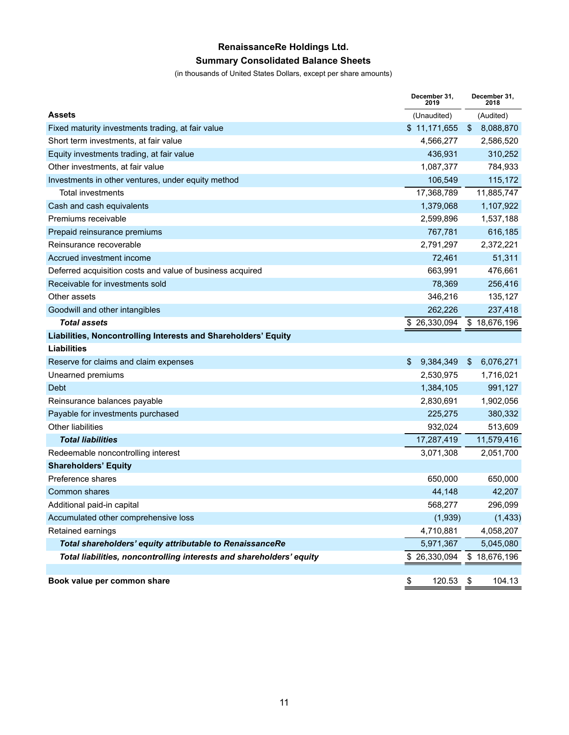# **RenaissanceRe Holdings Ltd. Summary Consolidated Balance Sheets**

(in thousands of United States Dollars, except per share amounts)

|                                                                      | December 31,<br>2019 | December 31,<br>2018              |
|----------------------------------------------------------------------|----------------------|-----------------------------------|
| <b>Assets</b>                                                        | (Unaudited)          | (Audited)                         |
| Fixed maturity investments trading, at fair value                    | \$11,171,655         | 8,088,870<br>\$                   |
| Short term investments, at fair value                                | 4,566,277            | 2,586,520                         |
| Equity investments trading, at fair value                            | 436,931              | 310,252                           |
| Other investments, at fair value                                     | 1,087,377            | 784,933                           |
| Investments in other ventures, under equity method                   | 106,549              | 115,172                           |
| Total investments                                                    | 17,368,789           | 11,885,747                        |
| Cash and cash equivalents                                            | 1,379,068            | 1,107,922                         |
| Premiums receivable                                                  | 2,599,896            | 1,537,188                         |
| Prepaid reinsurance premiums                                         | 767,781              | 616,185                           |
| Reinsurance recoverable                                              | 2,791,297            | 2,372,221                         |
| Accrued investment income                                            | 72,461               | 51,311                            |
| Deferred acquisition costs and value of business acquired            | 663,991              | 476,661                           |
| Receivable for investments sold                                      | 78,369               | 256,416                           |
| Other assets                                                         | 346,216              | 135,127                           |
| Goodwill and other intangibles                                       | 262,226              | 237,418                           |
| <b>Total assets</b>                                                  | 26,330,094<br>\$     | \$18,676,196                      |
| Liabilities, Noncontrolling Interests and Shareholders' Equity       |                      |                                   |
| Liabilities                                                          |                      |                                   |
| Reserve for claims and claim expenses                                | \$<br>9,384,349      | \$<br>6,076,271                   |
| Unearned premiums                                                    | 2,530,975            | 1,716,021                         |
| Debt                                                                 | 1,384,105            | 991,127                           |
| Reinsurance balances payable                                         | 2,830,691            | 1,902,056                         |
| Payable for investments purchased                                    | 225,275              | 380,332                           |
| <b>Other liabilities</b>                                             | 932,024              | 513,609                           |
| <b>Total liabilities</b>                                             | 17,287,419           | 11,579,416                        |
| Redeemable noncontrolling interest                                   | 3,071,308            | 2,051,700                         |
| <b>Shareholders' Equity</b>                                          |                      |                                   |
| Preference shares                                                    | 650,000              | 650,000                           |
| Common shares                                                        | 44,148               | 42,207                            |
| Additional paid-in capital                                           | 568,277              | 296,099                           |
| Accumulated other comprehensive loss                                 | (1,939)              | (1, 433)                          |
| Retained earnings                                                    | 4,710,881            | 4,058,207                         |
| Total shareholders' equity attributable to RenaissanceRe             | 5,971,367            | 5,045,080                         |
| Total liabilities, noncontrolling interests and shareholders' equity | \$ 26,330,094        | \$18,676,196                      |
|                                                                      |                      |                                   |
| Book value per common share                                          | \$<br>120.53         | $\sqrt[6]{\frac{1}{2}}$<br>104.13 |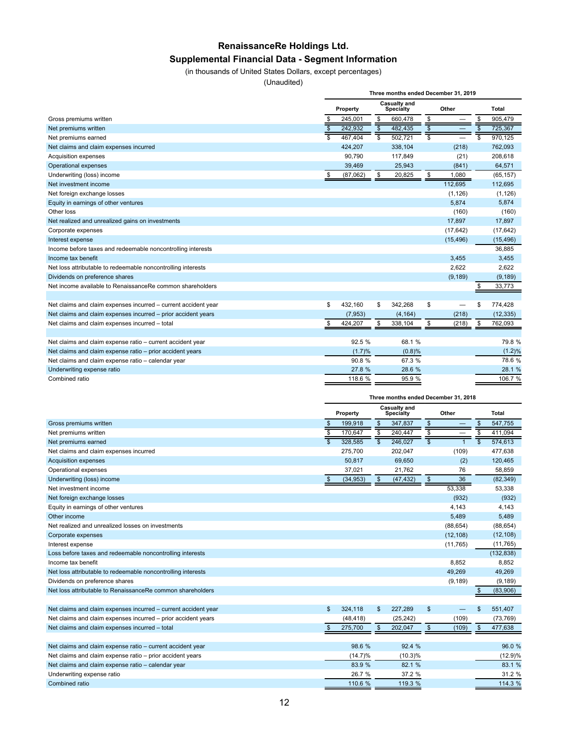# **RenaissanceRe Holdings Ltd.**

## **Supplemental Financial Data - Segment Information**

(in thousands of United States Dollars, except percentages)

(Unaudited)

|                                                                | Three months ended December 31, 2019 |          |                          |                                  |                         |           |                           |              |  |  |  |  |
|----------------------------------------------------------------|--------------------------------------|----------|--------------------------|----------------------------------|-------------------------|-----------|---------------------------|--------------|--|--|--|--|
|                                                                |                                      |          |                          |                                  |                         |           |                           |              |  |  |  |  |
|                                                                |                                      | Property |                          | Casualty and<br><b>Specialty</b> | Other                   |           |                           | <b>Total</b> |  |  |  |  |
| Gross premiums written                                         | \$                                   | 245.001  | \$                       | 660,478                          | \$                      |           | \$                        | 905,479      |  |  |  |  |
| Net premiums written                                           | $\overline{\mathcal{S}}$             | 242,932  | $\overline{\mathcal{S}}$ | 482,435                          | $\overline{\mathbf{s}}$ |           | $\overline{\mathfrak{s}}$ | 725,367      |  |  |  |  |
| Net premiums earned                                            |                                      | 467,404  |                          | 502,721                          | $\overline{\mathbb{s}}$ |           | $\overline{\mathsf{s}}$   | 970,125      |  |  |  |  |
| Net claims and claim expenses incurred                         |                                      | 424,207  |                          | 338,104                          |                         | (218)     |                           | 762,093      |  |  |  |  |
| Acquisition expenses                                           |                                      | 90.790   |                          | 117,849                          |                         | (21)      |                           | 208,618      |  |  |  |  |
| Operational expenses                                           |                                      | 39,469   |                          | 25.943                           |                         | (841)     |                           | 64.571       |  |  |  |  |
| Underwriting (loss) income                                     | \$                                   | (87,062) | \$                       | 20,825                           | $\frac{1}{2}$           | 1,080     |                           | (65, 157)    |  |  |  |  |
| Net investment income                                          |                                      |          |                          |                                  |                         | 112,695   |                           | 112,695      |  |  |  |  |
| Net foreign exchange losses                                    |                                      |          |                          |                                  |                         | (1, 126)  |                           | (1, 126)     |  |  |  |  |
| Equity in earnings of other ventures                           |                                      |          |                          |                                  |                         | 5,874     |                           | 5,874        |  |  |  |  |
| Other loss                                                     |                                      |          |                          |                                  |                         | (160)     |                           | (160)        |  |  |  |  |
| Net realized and unrealized gains on investments               |                                      |          |                          |                                  |                         | 17,897    |                           | 17,897       |  |  |  |  |
| Corporate expenses                                             |                                      |          |                          |                                  |                         | (17, 642) |                           | (17, 642)    |  |  |  |  |
| Interest expense                                               |                                      |          |                          |                                  |                         | (15, 496) |                           | (15, 496)    |  |  |  |  |
| Income before taxes and redeemable noncontrolling interests    |                                      |          |                          |                                  |                         |           |                           | 36,885       |  |  |  |  |
| Income tax benefit                                             |                                      |          |                          |                                  |                         | 3,455     |                           | 3,455        |  |  |  |  |
| Net loss attributable to redeemable noncontrolling interests   |                                      |          |                          |                                  |                         | 2,622     |                           | 2,622        |  |  |  |  |
| Dividends on preference shares                                 |                                      |          |                          |                                  |                         | (9, 189)  |                           | (9, 189)     |  |  |  |  |
| Net income available to RenaissanceRe common shareholders      |                                      |          |                          |                                  |                         |           | \$                        | 33,773       |  |  |  |  |
|                                                                |                                      |          |                          |                                  |                         |           |                           |              |  |  |  |  |
| Net claims and claim expenses incurred - current accident year | \$                                   | 432,160  | \$                       | 342,268                          | \$                      |           | \$                        | 774,428      |  |  |  |  |
| Net claims and claim expenses incurred - prior accident years  |                                      | (7, 953) |                          | (4, 164)                         |                         | (218)     |                           | (12, 335)    |  |  |  |  |
| Net claims and claim expenses incurred - total                 | \$                                   | 424,207  | \$                       | 338,104                          | \$                      | (218)     | \$                        | 762,093      |  |  |  |  |
|                                                                |                                      |          |                          |                                  |                         |           |                           |              |  |  |  |  |
| Net claims and claim expense ratio - current accident year     |                                      | 92.5 %   |                          | 68.1 %                           |                         |           |                           | 79.8%        |  |  |  |  |
| Net claims and claim expense ratio - prior accident years      |                                      | (1.7)%   |                          | (0.8)%                           |                         |           |                           | (1.2)%       |  |  |  |  |
| Net claims and claim expense ratio - calendar year             |                                      | 90.8%    |                          | 67.3 %                           |                         |           |                           | 78.6%        |  |  |  |  |
| Underwriting expense ratio                                     |                                      | 27.8 %   |                          | 28.6 %                           |                         |           |                           | 28.1 %       |  |  |  |  |
| Combined ratio                                                 |                                      | 118.6 %  |                          | 95.9 %                           |                         |           |                           | 106.7 %      |  |  |  |  |
|                                                                |                                      |          |                          |                                  |                         |           |                           |              |  |  |  |  |

|                                                                | Three months ended December 31, 2018 |            |                          |                                         |                          |           |                         |              |  |  |
|----------------------------------------------------------------|--------------------------------------|------------|--------------------------|-----------------------------------------|--------------------------|-----------|-------------------------|--------------|--|--|
|                                                                |                                      | Property   |                          | <b>Casualty and</b><br><b>Specialty</b> |                          | Other     |                         | <b>Total</b> |  |  |
| Gross premiums written                                         |                                      | 199,918    | \$                       | 347,837                                 | \$                       |           | \$                      | 547,755      |  |  |
| Net premiums written                                           | $\frac{1}{3}$                        | 170,647    | \$                       | 240,447                                 | \$                       |           | \$                      | 411,094      |  |  |
| Net premiums earned                                            |                                      | 328,585    | $\overline{\mathcal{S}}$ | 246,027                                 | $\overline{\mathcal{S}}$ |           | $\overline{\mathbb{S}}$ | 574,613      |  |  |
| Net claims and claim expenses incurred                         |                                      | 275,700    |                          | 202,047                                 |                          | (109)     |                         | 477,638      |  |  |
| Acquisition expenses                                           |                                      | 50,817     |                          | 69,650                                  |                          | (2)       |                         | 120,465      |  |  |
| Operational expenses                                           |                                      | 37,021     |                          | 21,762                                  |                          | 76        |                         | 58,859       |  |  |
| Underwriting (loss) income                                     | \$                                   | (34, 953)  | \$                       | (47, 432)                               | \$                       | 36        |                         | (82, 349)    |  |  |
| Net investment income                                          |                                      |            |                          |                                         |                          | 53,338    |                         | 53,338       |  |  |
| Net foreign exchange losses                                    |                                      |            |                          |                                         |                          | (932)     |                         | (932)        |  |  |
| Equity in earnings of other ventures                           |                                      |            |                          |                                         |                          | 4,143     |                         | 4,143        |  |  |
| Other income                                                   |                                      |            |                          |                                         |                          | 5,489     |                         | 5,489        |  |  |
| Net realized and unrealized losses on investments              |                                      |            |                          |                                         |                          | (88, 654) |                         | (88, 654)    |  |  |
| Corporate expenses                                             |                                      |            |                          |                                         |                          | (12, 108) |                         | (12, 108)    |  |  |
| Interest expense                                               |                                      |            |                          |                                         |                          | (11, 765) |                         | (11, 765)    |  |  |
| Loss before taxes and redeemable noncontrolling interests      |                                      |            |                          |                                         |                          |           |                         | (132, 838)   |  |  |
| Income tax benefit                                             |                                      |            |                          |                                         |                          | 8.852     |                         | 8.852        |  |  |
| Net loss attributable to redeemable noncontrolling interests   |                                      |            |                          |                                         |                          | 49.269    |                         | 49,269       |  |  |
| Dividends on preference shares                                 |                                      |            |                          |                                         |                          | (9, 189)  |                         | (9, 189)     |  |  |
| Net loss attributable to RenaissanceRe common shareholders     |                                      |            |                          |                                         |                          |           | \$                      | (83,906)     |  |  |
|                                                                |                                      |            |                          |                                         |                          |           |                         |              |  |  |
| Net claims and claim expenses incurred - current accident year | \$                                   | 324,118    | \$                       | 227,289                                 | $\sqrt[6]{3}$            |           | \$                      | 551,407      |  |  |
| Net claims and claim expenses incurred - prior accident years  |                                      | (48, 418)  |                          | (25, 242)                               |                          | (109)     |                         | (73, 769)    |  |  |
| Net claims and claim expenses incurred - total                 | $\mathbb{S}$                         | 275,700    | $\mathfrak{S}$           | 202,047                                 | $\sqrt[6]{3}$            | (109)     | \$                      | 477,638      |  |  |
|                                                                |                                      |            |                          |                                         |                          |           |                         |              |  |  |
| Net claims and claim expense ratio - current accident year     |                                      | 98.6 %     |                          | 92.4 %                                  |                          |           |                         | 96.0 %       |  |  |
| Net claims and claim expense ratio - prior accident years      |                                      | $(14.7)\%$ |                          | (10.3)%                                 |                          |           |                         | (12.9)%      |  |  |
| Net claims and claim expense ratio - calendar year             |                                      | 83.9 %     |                          | 82.1 %                                  |                          |           |                         | 83.1 %       |  |  |
| Underwriting expense ratio                                     |                                      | 26.7 %     |                          | 37.2 %                                  |                          |           |                         | 31.2 %       |  |  |
| Combined ratio                                                 |                                      | 110.6 %    |                          | 119.3 %                                 |                          |           |                         | 114.3 %      |  |  |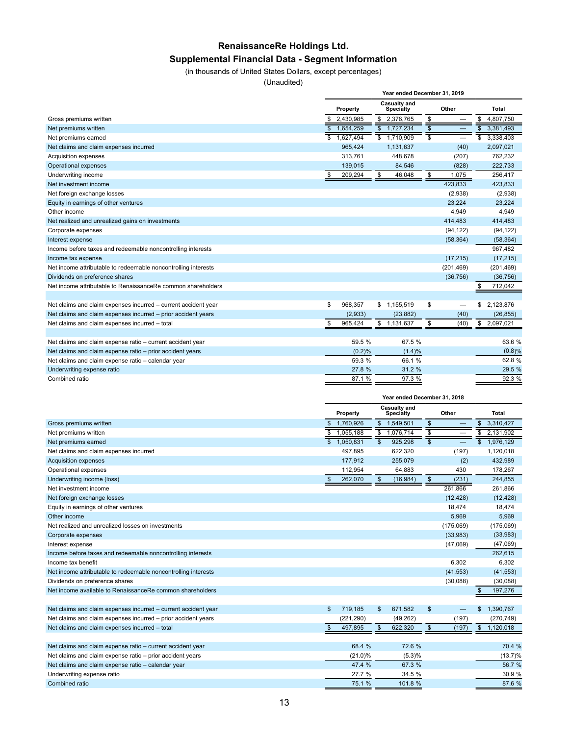# **RenaissanceRe Holdings Ltd.**

## **Supplemental Financial Data - Segment Information**

(in thousands of United States Dollars, except percentages)

(Unaudited)

|                                                                | Year ended December 31, 2019 |                           |                         |                                      |  |  |  |  |  |  |  |
|----------------------------------------------------------------|------------------------------|---------------------------|-------------------------|--------------------------------------|--|--|--|--|--|--|--|
|                                                                | Property                     | Casualty and<br>Specialty | Other                   | Total                                |  |  |  |  |  |  |  |
| Gross premiums written                                         | 2,430,985                    | \$ 2,376,765              | \$                      | 4,807,750                            |  |  |  |  |  |  |  |
| Net premiums written                                           | 1,654,259                    | \$1,727,234               | $\sqrt{3}$              | 3,381,493<br>$\mathbf{s}$            |  |  |  |  |  |  |  |
| Net premiums earned                                            | \$<br>1.627.494              | $\frac{1}{2}$ 1,710,909   | $\overline{\mathbb{s}}$ | $\overline{\mathbb{s}}$<br>3,338,403 |  |  |  |  |  |  |  |
| Net claims and claim expenses incurred                         | 965,424                      | 1,131,637                 | (40)                    | 2,097,021                            |  |  |  |  |  |  |  |
| Acquisition expenses                                           | 313.761                      | 448.678                   | (207)                   | 762,232                              |  |  |  |  |  |  |  |
| Operational expenses                                           | 139,015                      | 84.546                    | (828)                   | 222.733                              |  |  |  |  |  |  |  |
| Underwriting income                                            | 209,294<br>\$                | 46,048<br>\$              | \$<br>1,075             | 256,417                              |  |  |  |  |  |  |  |
| Net investment income                                          |                              |                           | 423,833                 | 423,833                              |  |  |  |  |  |  |  |
| Net foreign exchange losses                                    |                              |                           | (2,938)                 | (2,938)                              |  |  |  |  |  |  |  |
| Equity in earnings of other ventures                           |                              |                           | 23,224                  | 23,224                               |  |  |  |  |  |  |  |
| Other income                                                   |                              |                           | 4,949                   | 4,949                                |  |  |  |  |  |  |  |
| Net realized and unrealized gains on investments               |                              |                           | 414,483                 | 414,483                              |  |  |  |  |  |  |  |
| Corporate expenses                                             |                              |                           | (94, 122)               | (94, 122)                            |  |  |  |  |  |  |  |
| Interest expense                                               |                              |                           | (58, 364)               | (58, 364)                            |  |  |  |  |  |  |  |
| Income before taxes and redeemable noncontrolling interests    |                              |                           |                         | 967,482                              |  |  |  |  |  |  |  |
| Income tax expense                                             |                              |                           | (17, 215)               | (17, 215)                            |  |  |  |  |  |  |  |
| Net income attributable to redeemable noncontrolling interests |                              |                           | (201, 469)              | (201, 469)                           |  |  |  |  |  |  |  |
| Dividends on preference shares                                 |                              |                           | (36, 756)               | (36, 756)                            |  |  |  |  |  |  |  |
| Net income attributable to RenaissanceRe common shareholders   |                              |                           |                         | 712,042                              |  |  |  |  |  |  |  |
|                                                                |                              |                           |                         |                                      |  |  |  |  |  |  |  |
| Net claims and claim expenses incurred - current accident year | \$<br>968,357                | \$1,155,519               | \$                      | 2,123,876<br>\$                      |  |  |  |  |  |  |  |
| Net claims and claim expenses incurred - prior accident years  | (2,933)                      | (23, 882)                 | (40)                    | (26, 855)                            |  |  |  |  |  |  |  |
| Net claims and claim expenses incurred - total                 | 965,424<br>S                 | \$<br>1,131,637           | \$<br>(40)              | \$<br>2,097,021                      |  |  |  |  |  |  |  |
|                                                                |                              |                           |                         |                                      |  |  |  |  |  |  |  |
| Net claims and claim expense ratio - current accident year     | 59.5 %                       | 67.5 %                    |                         | 63.6 %                               |  |  |  |  |  |  |  |
| Net claims and claim expense ratio - prior accident years      | (0.2)%                       | (1.4)%                    |                         | (0.8)%                               |  |  |  |  |  |  |  |
| Net claims and claim expense ratio - calendar year             | 59.3 %                       | 66.1 %                    |                         | 62.8%                                |  |  |  |  |  |  |  |
| Underwriting expense ratio                                     | 27.8%                        | 31.2 %                    |                         | 29.5 %                               |  |  |  |  |  |  |  |
| Combined ratio                                                 | 87.1 %                       | 97.3 %                    |                         | 92.3 %                               |  |  |  |  |  |  |  |

|                                                                |              | Property   |                         | Casualty and<br>Specialty |                          | Other     |                | <b>Total</b> |
|----------------------------------------------------------------|--------------|------------|-------------------------|---------------------------|--------------------------|-----------|----------------|--------------|
| Gross premiums written                                         |              | 1,760,926  | $\mathbb{S}$            | 1,549,501                 | $\frac{1}{2}$            |           | \$             | 3,310,427    |
| Net premiums written                                           |              | 1,055,188  | $\overline{\mathbf{s}}$ | 1,076,714                 | \$                       |           | \$             | 2,131,902    |
| Net premiums earned                                            |              | 1,050,831  | $\overline{\mathbb{S}}$ | 925,298                   | $\overline{\mathcal{S}}$ |           |                | \$1,976,129  |
| Net claims and claim expenses incurred                         |              | 497,895    |                         | 622,320                   |                          | (197)     |                | 1,120,018    |
| <b>Acquisition expenses</b>                                    |              | 177.912    |                         | 255,079                   |                          | (2)       |                | 432,989      |
| Operational expenses                                           |              | 112,954    |                         | 64,883                    |                          | 430       |                | 178,267      |
| Underwriting income (loss)                                     | \$           | 262,070    | \$                      | (16,984)                  | \$                       | (231)     |                | 244,855      |
| Net investment income                                          |              |            |                         |                           |                          | 261,866   |                | 261,866      |
| Net foreign exchange losses                                    |              |            |                         |                           |                          | (12, 428) |                | (12, 428)    |
| Equity in earnings of other ventures                           |              |            |                         |                           |                          | 18,474    |                | 18,474       |
| Other income                                                   |              |            |                         |                           |                          | 5,969     |                | 5,969        |
| Net realized and unrealized losses on investments              |              |            |                         |                           |                          | (175,069) |                | (175,069)    |
| Corporate expenses                                             |              |            |                         |                           |                          | (33,983)  |                | (33,983)     |
| Interest expense                                               |              |            |                         |                           |                          | (47,069)  |                | (47,069)     |
| Income before taxes and redeemable noncontrolling interests    |              |            |                         |                           |                          |           |                | 262,615      |
| Income tax benefit                                             |              |            |                         |                           |                          | 6,302     |                | 6,302        |
| Net income attributable to redeemable noncontrolling interests |              |            |                         |                           |                          | (41, 553) |                | (41, 553)    |
| Dividends on preference shares                                 |              |            |                         |                           |                          | (30,088)  |                | (30,088)     |
| Net income available to RenaissanceRe common shareholders      |              |            |                         |                           |                          |           | \$             | 197,276      |
|                                                                |              |            |                         |                           |                          |           |                |              |
| Net claims and claim expenses incurred - current accident year | \$           | 719,185    | $\mathbb{S}$            | 671,582                   | \$                       |           | \$             | 1,390,767    |
| Net claims and claim expenses incurred - prior accident years  |              | (221, 290) |                         | (49, 262)                 |                          | (197)     |                | (270, 749)   |
| Net claims and claim expenses incurred - total                 | $\mathbb{S}$ | 497,895    | $\mathbf{s}$            | 622,320                   | \$                       | (197)     | $\mathfrak{F}$ | 1,120,018    |
|                                                                |              |            |                         |                           |                          |           |                |              |
| Net claims and claim expense ratio - current accident year     |              | 68.4 %     |                         | 72.6 %                    |                          |           |                | 70.4 %       |
| Net claims and claim expense ratio - prior accident years      |              | $(21.0)\%$ |                         | (5.3)%                    |                          |           |                | $(13.7)\%$   |
| Net claims and claim expense ratio - calendar year             |              | 47.4 %     |                         | 67.3 %                    |                          |           |                | 56.7 %       |
| Underwriting expense ratio                                     |              | 27.7 %     |                         | 34.5 %                    |                          |           |                | 30.9 %       |
| Combined ratio                                                 |              | 75.1 %     |                         | 101.8 %                   |                          |           |                | 87.6 %       |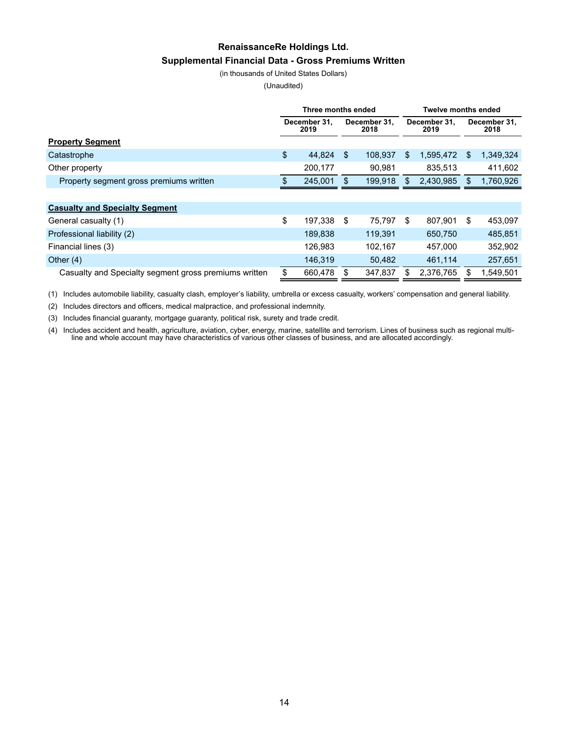# **RenaissanceRe Holdings Ltd. Supplemental Financial Data - Gross Premiums Written**

(in thousands of United States Dollars)

(Unaudited)

|                                                       | Three months ended                           |         |     |                      |     | <b>Twelve months ended</b> |     |           |  |  |
|-------------------------------------------------------|----------------------------------------------|---------|-----|----------------------|-----|----------------------------|-----|-----------|--|--|
|                                                       | December 31,<br>December 31,<br>2019<br>2018 |         |     | December 31,<br>2019 |     | December 31,<br>2018       |     |           |  |  |
| <b>Property Segment</b>                               |                                              |         |     |                      |     |                            |     |           |  |  |
| Catastrophe                                           | \$                                           | 44,824  | \$. | 108.937              | \$  | 1,595,472                  | \$  | 1,349,324 |  |  |
| Other property                                        |                                              | 200,177 |     | 90,981               |     | 835,513                    |     | 411,602   |  |  |
| Property segment gross premiums written               | SS.                                          | 245,001 |     | 199,918              | \$. | 2,430,985                  | \$. | 1,760,926 |  |  |
|                                                       |                                              |         |     |                      |     |                            |     |           |  |  |
| <b>Casualty and Specialty Segment</b>                 |                                              |         |     |                      |     |                            |     |           |  |  |
| General casualty (1)                                  | \$                                           | 197,338 | \$  | 75.797               | \$  | 807,901                    | \$  | 453,097   |  |  |
| Professional liability (2)                            |                                              | 189.838 |     | 119,391              |     | 650,750                    |     | 485,851   |  |  |
| Financial lines (3)                                   |                                              | 126.983 |     | 102.167              |     | 457.000                    |     | 352,902   |  |  |
| Other $(4)$                                           |                                              | 146,319 |     | 50,482               |     | 461,114                    |     | 257,651   |  |  |
| Casualty and Specialty segment gross premiums written | \$.                                          | 660,478 |     | 347,837              |     | 2,376,765                  | \$. | 1,549,501 |  |  |

(1) Includes automobile liability, casualty clash, employer's liability, umbrella or excess casualty, workers' compensation and general liability.

(2) Includes directors and officers, medical malpractice, and professional indemnity.

(3) Includes financial guaranty, mortgage guaranty, political risk, surety and trade credit.

(4) Includes accident and health, agriculture, aviation, cyber, energy, marine, satellite and terrorism. Lines of business such as regional multiline and whole account may have characteristics of various other classes of business, and are allocated accordingly.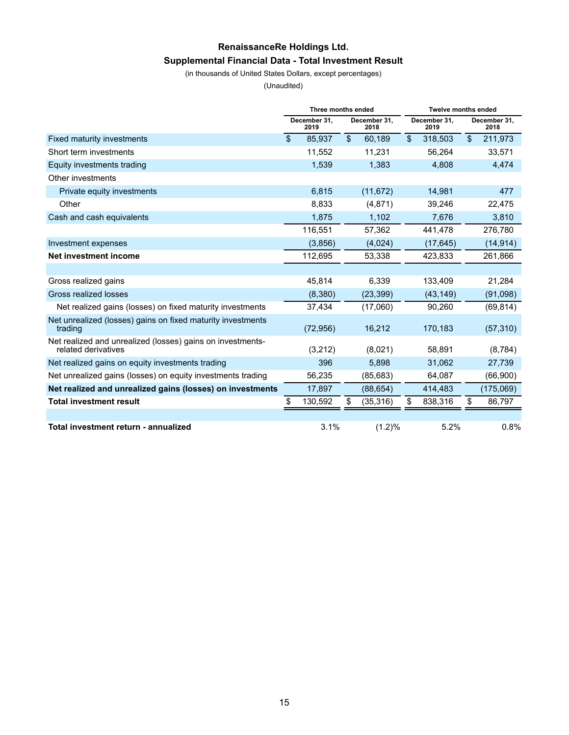# **RenaissanceRe Holdings Ltd. Supplemental Financial Data - Total Investment Result**

(in thousands of United States Dollars, except percentages)

(Unaudited)

|                                                                                   | Three months ended |                      |    |                      | <b>Twelve months ended</b> |                      |                |                      |  |
|-----------------------------------------------------------------------------------|--------------------|----------------------|----|----------------------|----------------------------|----------------------|----------------|----------------------|--|
|                                                                                   |                    | December 31,<br>2019 |    | December 31,<br>2018 |                            | December 31,<br>2019 |                | December 31,<br>2018 |  |
| Fixed maturity investments                                                        | $\mathbf{s}$       | 85,937               | \$ | 60,189               | $\mathfrak{F}$             | 318,503              | $\mathfrak{L}$ | 211,973              |  |
| Short term investments                                                            |                    | 11,552               |    | 11,231               |                            | 56,264               |                | 33,571               |  |
| Equity investments trading                                                        |                    | 1,539                |    | 1,383                |                            | 4,808                |                | 4,474                |  |
| Other investments                                                                 |                    |                      |    |                      |                            |                      |                |                      |  |
| Private equity investments                                                        |                    | 6,815                |    | (11, 672)            |                            | 14,981               |                | 477                  |  |
| Other                                                                             |                    | 8,833                |    | (4,871)              |                            | 39,246               |                | 22,475               |  |
| Cash and cash equivalents                                                         |                    | 1,875                |    | 1,102                |                            | 7,676                |                | 3,810                |  |
|                                                                                   |                    | 116,551              |    | 57,362               |                            | 441,478              |                | 276,780              |  |
| Investment expenses                                                               |                    | (3,856)              |    | (4,024)              |                            | (17, 645)            |                | (14, 914)            |  |
| Net investment income                                                             |                    | 112,695              |    | 53,338               |                            | 423,833              |                | 261,866              |  |
|                                                                                   |                    |                      |    |                      |                            |                      |                |                      |  |
| Gross realized gains                                                              |                    | 45.814               |    | 6.339                |                            | 133,409              |                | 21,284               |  |
| Gross realized losses                                                             |                    | (8,380)              |    | (23, 399)            |                            | (43, 149)            |                | (91,098)             |  |
| Net realized gains (losses) on fixed maturity investments                         |                    | 37,434               |    | (17,060)             |                            | 90,260               |                | (69, 814)            |  |
| Net unrealized (losses) gains on fixed maturity investments<br>trading            |                    | (72, 956)            |    | 16,212               |                            | 170.183              |                | (57, 310)            |  |
| Net realized and unrealized (losses) gains on investments-<br>related derivatives |                    | (3,212)              |    | (8,021)              |                            | 58,891               |                | (8,784)              |  |
| Net realized gains on equity investments trading                                  |                    | 396                  |    | 5,898                |                            | 31,062               |                | 27,739               |  |
| Net unrealized gains (losses) on equity investments trading                       |                    | 56,235               |    | (85, 683)            |                            | 64,087               |                | (66,900)             |  |
| Net realized and unrealized gains (losses) on investments                         |                    | 17,897               |    | (88, 654)            |                            | 414,483              |                | (175,069)            |  |
| <b>Total investment result</b>                                                    | \$                 | 130,592              | \$ | (35, 316)            | \$                         | 838,316              | \$             | 86,797               |  |
|                                                                                   |                    |                      |    |                      |                            |                      |                |                      |  |
| Total investment return - annualized                                              |                    | 3.1%                 |    | (1.2)%               |                            | 5.2%                 |                | 0.8%                 |  |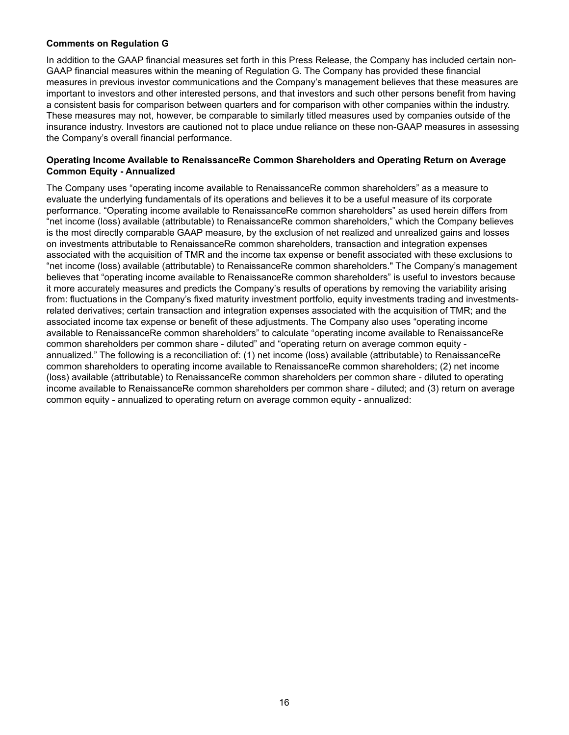#### **Comments on Regulation G**

In addition to the GAAP financial measures set forth in this Press Release, the Company has included certain non-GAAP financial measures within the meaning of Regulation G. The Company has provided these financial measures in previous investor communications and the Company's management believes that these measures are important to investors and other interested persons, and that investors and such other persons benefit from having a consistent basis for comparison between quarters and for comparison with other companies within the industry. These measures may not, however, be comparable to similarly titled measures used by companies outside of the insurance industry. Investors are cautioned not to place undue reliance on these non-GAAP measures in assessing the Company's overall financial performance.

#### **Operating Income Available to RenaissanceRe Common Shareholders and Operating Return on Average Common Equity - Annualized**

The Company uses "operating income available to RenaissanceRe common shareholders" as a measure to evaluate the underlying fundamentals of its operations and believes it to be a useful measure of its corporate performance. "Operating income available to RenaissanceRe common shareholders" as used herein differs from "net income (loss) available (attributable) to RenaissanceRe common shareholders," which the Company believes is the most directly comparable GAAP measure, by the exclusion of net realized and unrealized gains and losses on investments attributable to RenaissanceRe common shareholders, transaction and integration expenses associated with the acquisition of TMR and the income tax expense or benefit associated with these exclusions to "net income (loss) available (attributable) to RenaissanceRe common shareholders." The Company's management believes that "operating income available to RenaissanceRe common shareholders" is useful to investors because it more accurately measures and predicts the Company's results of operations by removing the variability arising from: fluctuations in the Company's fixed maturity investment portfolio, equity investments trading and investmentsrelated derivatives; certain transaction and integration expenses associated with the acquisition of TMR; and the associated income tax expense or benefit of these adjustments. The Company also uses "operating income available to RenaissanceRe common shareholders" to calculate "operating income available to RenaissanceRe common shareholders per common share - diluted" and "operating return on average common equity annualized." The following is a reconciliation of: (1) net income (loss) available (attributable) to RenaissanceRe common shareholders to operating income available to RenaissanceRe common shareholders; (2) net income (loss) available (attributable) to RenaissanceRe common shareholders per common share - diluted to operating income available to RenaissanceRe common shareholders per common share - diluted; and (3) return on average common equity - annualized to operating return on average common equity - annualized: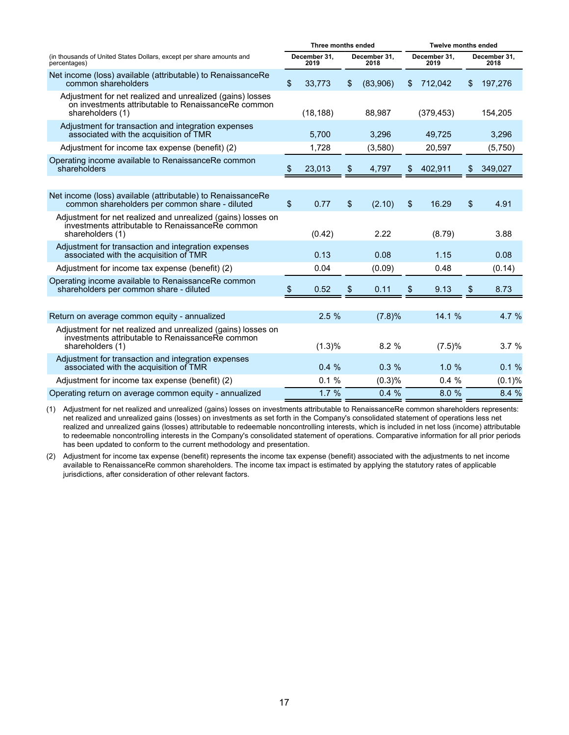|                                                                                                                                      |    | Three months ended   |                      |     |                      | <b>Twelve months ended</b> |                      |  |  |
|--------------------------------------------------------------------------------------------------------------------------------------|----|----------------------|----------------------|-----|----------------------|----------------------------|----------------------|--|--|
| (in thousands of United States Dollars, except per share amounts and<br>percentages)                                                 |    | December 31,<br>2019 | December 31,<br>2018 |     | December 31,<br>2019 |                            | December 31,<br>2018 |  |  |
| Net income (loss) available (attributable) to RenaissanceRe<br>common shareholders                                                   | \$ | 33,773               | \$<br>(83,906)       | \$. | 712,042              | \$                         | 197,276              |  |  |
| Adjustment for net realized and unrealized (gains) losses<br>on investments attributable to RenaissanceRe common<br>shareholders (1) |    | (18, 188)            | 88.987               |     | (379, 453)           |                            | 154,205              |  |  |
| Adjustment for transaction and integration expenses<br>associated with the acquisition of TMR                                        |    | 5,700                | 3,296                |     | 49,725               |                            | 3,296                |  |  |
| Adjustment for income tax expense (benefit) (2)                                                                                      |    | 1,728                | (3,580)              |     | 20,597               |                            | (5,750)              |  |  |
| Operating income available to RenaissanceRe common<br>shareholders                                                                   | Ъ. | 23,013               | \$<br>4,797          | \$  | 402,911              | \$                         | 349,027              |  |  |
|                                                                                                                                      |    |                      |                      |     |                      |                            |                      |  |  |
| Net income (loss) available (attributable) to RenaissanceRe<br>common shareholders per common share - diluted                        | \$ | 0.77                 | \$<br>(2.10)         | \$  | 16.29                | \$                         | 4.91                 |  |  |
| Adjustment for net realized and unrealized (gains) losses on<br>investments attributable to RenaissanceRe common<br>shareholders (1) |    | (0.42)               | 2.22                 |     | (8.79)               |                            | 3.88                 |  |  |
| Adjustment for transaction and integration expenses<br>associated with the acquisition of TMR                                        |    | 0.13                 | 0.08                 |     | 1.15                 |                            | 0.08                 |  |  |
| Adjustment for income tax expense (benefit) (2)                                                                                      |    | 0.04                 | (0.09)               |     | 0.48                 |                            | (0.14)               |  |  |
| Operating income available to RenaissanceRe common<br>shareholders per common share - diluted                                        | \$ | 0.52                 | \$<br>0.11           | \$  | 9.13                 | \$                         | 8.73                 |  |  |
|                                                                                                                                      |    |                      |                      |     |                      |                            |                      |  |  |
| Return on average common equity - annualized                                                                                         |    | 2.5%                 | (7.8)%               |     | 14.1 %               |                            | 4.7 %                |  |  |
| Adjustment for net realized and unrealized (gains) losses on<br>investments attributable to RenaissanceRe common<br>shareholders (1) |    | (1.3)%               | 8.2%                 |     | (7.5)%               |                            | 3.7%                 |  |  |
| Adjustment for transaction and integration expenses<br>associated with the acquisition of TMR                                        |    | 0.4%                 | 0.3%                 |     | 1.0%                 |                            | 0.1%                 |  |  |
| Adjustment for income tax expense (benefit) (2)                                                                                      |    | 0.1%                 | (0.3)%               |     | 0.4%                 |                            | (0.1)%               |  |  |
| Operating return on average common equity - annualized                                                                               |    | 1.7%                 | 0.4%                 |     | 8.0%                 |                            | 8.4%                 |  |  |

(1) Adjustment for net realized and unrealized (gains) losses on investments attributable to RenaissanceRe common shareholders represents: net realized and unrealized gains (losses) on investments as set forth in the Company's consolidated statement of operations less net realized and unrealized gains (losses) attributable to redeemable noncontrolling interests, which is included in net loss (income) attributable to redeemable noncontrolling interests in the Company's consolidated statement of operations. Comparative information for all prior periods has been updated to conform to the current methodology and presentation.

(2) Adjustment for income tax expense (benefit) represents the income tax expense (benefit) associated with the adjustments to net income available to RenaissanceRe common shareholders. The income tax impact is estimated by applying the statutory rates of applicable jurisdictions, after consideration of other relevant factors.